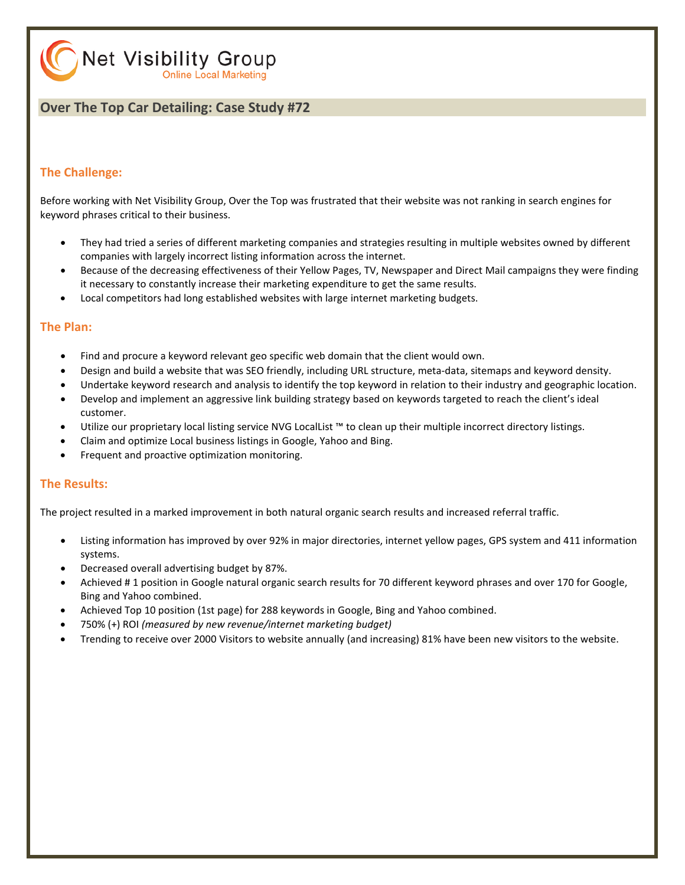Net Visibility Group **Online Local Marketing** 

#### **Over The Top Car Detailing: Case Study #72**

#### **The Challenge:**

Before working with Net Visibility Group, Over the Top was frustrated that their website was not ranking in search engines for keyword phrases critical to their business.

- They had tried a series of different marketing companies and strategies resulting in multiple websites owned by different companies with largely incorrect listing information across the internet.
- Because of the decreasing effectiveness of their Yellow Pages, TV, Newspaper and Direct Mail campaigns they were finding it necessary to constantly increase their marketing expenditure to get the same results.
- Local competitors had long established websites with large internet marketing budgets.

#### **The Plan:**

- Find and procure a keyword relevant geo specific web domain that the client would own.
- Design and build a website that was SEO friendly, including URL structure, meta-data, sitemaps and keyword density.
- Undertake keyword research and analysis to identify the top keyword in relation to their industry and geographic location.
- Develop and implement an aggressive link building strategy based on keywords targeted to reach the client's ideal customer.
- Utilize our proprietary local listing service NVG LocalList ™ to clean up their multiple incorrect directory listings.
- Claim and optimize Local business listings in Google, Yahoo and Bing.
- Frequent and proactive optimization monitoring.

#### **The Results:**

The project resulted in a marked improvement in both natural organic search results and increased referral traffic.

- Listing information has improved by over 92% in major directories, internet yellow pages, GPS system and 411 information systems.
- Decreased overall advertising budget by 87%.
- Achieved # 1 position in Google natural organic search results for 70 different keyword phrases and over 170 for Google, Bing and Yahoo combined.
- Achieved Top 10 position (1st page) for 288 keywords in Google, Bing and Yahoo combined.
- 750% (+) ROI *(measured by new revenue/internet marketing budget)*
- Trending to receive over 2000 Visitors to website annually (and increasing) 81% have been new visitors to the website.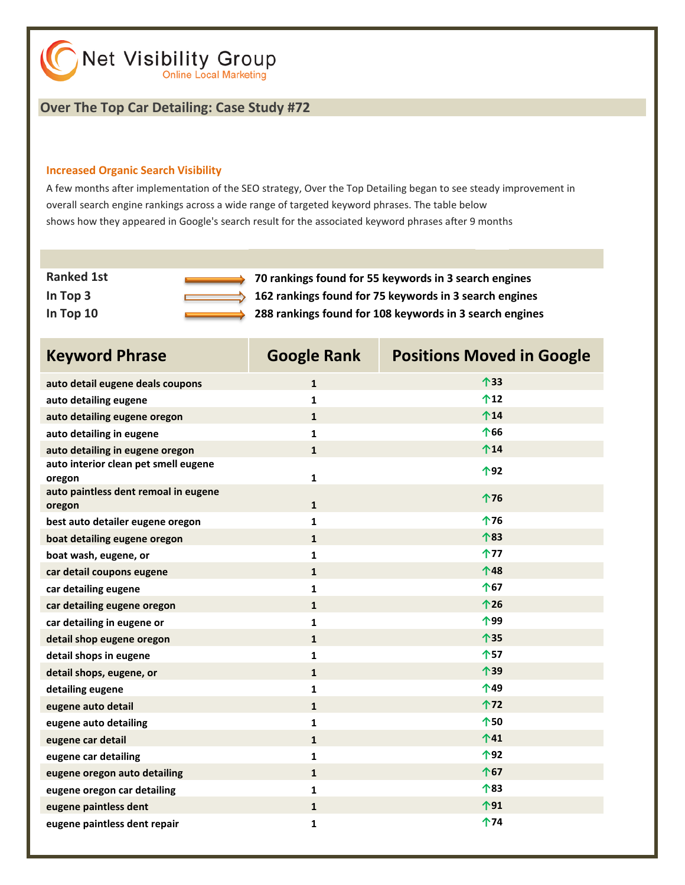#### **Over The Top Car Detailing: Case Study #72**

#### **Increased Organic Search Visibility**

A few months after implementation of the SEO strategy, Over the Top Detailing began to see steady improvement in overall search engine rankings across a wide range of targeted keyword phrases. The table below shows how they appeared in Google's search result for the associated keyword phrases after 9 months

| <b>Ranked 1st</b> | 70 rankings found for 55 keywords in 3 search engines   |
|-------------------|---------------------------------------------------------|
| In Top 3          | 162 rankings found for 75 keywords in 3 search engines  |
| In Top $10$       | 288 rankings found for 108 keywords in 3 search engines |

| <b>Keyword Phrase</b>                          | <b>Google Rank</b> | <b>Positions Moved in Google</b> |
|------------------------------------------------|--------------------|----------------------------------|
| auto detail eugene deals coupons               | $\mathbf{1}$       | 个33                              |
| auto detailing eugene                          | $\mathbf{1}$       | 个12                              |
| auto detailing eugene oregon                   | $\mathbf{1}$       | $^{\text{14}}$                   |
| auto detailing in eugene                       | $\mathbf{1}$       | 个66                              |
| auto detailing in eugene oregon                | $\mathbf{1}$       | $^{\text{14}}$                   |
| auto interior clean pet smell eugene<br>oregon | $\mathbf{1}$       | 个92                              |
| auto paintless dent remoal in eugene<br>oregon | $\mathbf{1}$       | 个76                              |
| best auto detailer eugene oregon               | $\mathbf{1}$       | 个76                              |
| boat detailing eugene oregon                   | $\mathbf{1}$       | 个83                              |
| boat wash, eugene, or                          | $\mathbf{1}$       | 个77                              |
| car detail coupons eugene                      | $\mathbf{1}$       | 个48                              |
| car detailing eugene                           | $\mathbf{1}$       | 个67                              |
| car detailing eugene oregon                    | $\mathbf{1}$       | 个26                              |
| car detailing in eugene or                     | $\mathbf{1}$       | 个99                              |
| detail shop eugene oregon                      | $\mathbf{1}$       | 个35                              |
| detail shops in eugene                         | $\mathbf{1}$       | 个57                              |
| detail shops, eugene, or                       | $\mathbf{1}$       | 个39                              |
| detailing eugene                               | 1                  | 个49                              |
| eugene auto detail                             | $\mathbf{1}$       | 个72                              |
| eugene auto detailing                          | $\mathbf{1}$       | 个50                              |
| eugene car detail                              | $\mathbf{1}$       | $^{\text{41}}$                   |
| eugene car detailing                           | $\mathbf{1}$       | 个92                              |
| eugene oregon auto detailing                   | $\mathbf{1}$       | 个67                              |
| eugene oregon car detailing                    | $\mathbf{1}$       | 个83                              |
| eugene paintless dent                          | $\mathbf{1}$       | ↑91                              |
| eugene paintless dent repair                   | $\mathbf{1}$       | ↑74                              |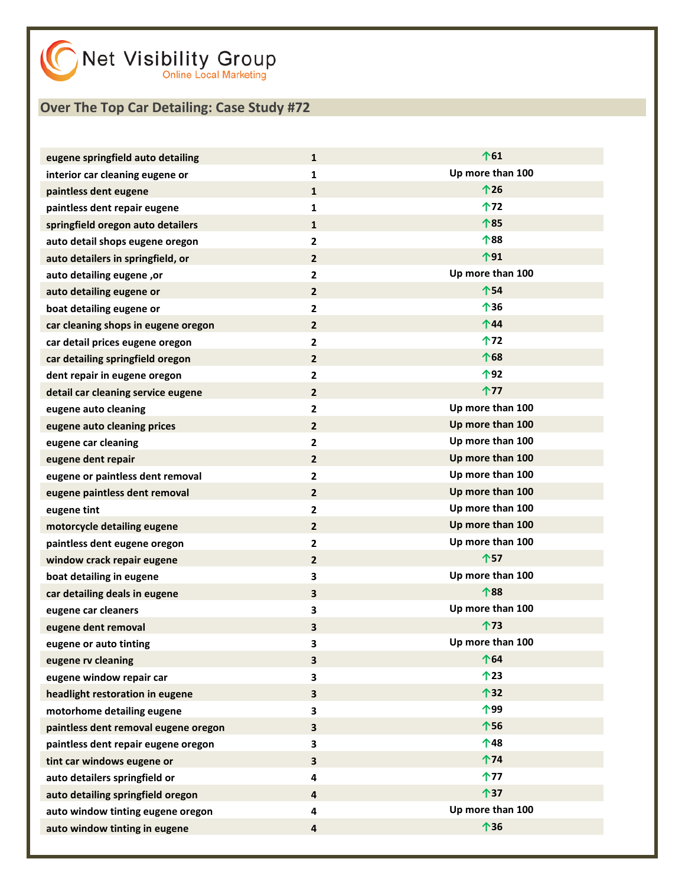| eugene springfield auto detailing    | $\mathbf{1}$            | 个61              |
|--------------------------------------|-------------------------|------------------|
| interior car cleaning eugene or      | $\mathbf{1}$            | Up more than 100 |
| paintless dent eugene                | $\mathbf{1}$            | 个26              |
| paintless dent repair eugene         | $\mathbf{1}$            | 个72              |
| springfield oregon auto detailers    | $\mathbf{1}$            | 个85              |
| auto detail shops eugene oregon      | $\mathbf{2}$            | 个88              |
| auto detailers in springfield, or    | $\overline{2}$          | 个91              |
| auto detailing eugene, or            | $\mathbf{2}$            | Up more than 100 |
| auto detailing eugene or             | $\overline{2}$          | 个54              |
| boat detailing eugene or             | $\mathbf{2}$            | 个36              |
| car cleaning shops in eugene oregon  | $\overline{2}$          | $\hat{T}$ 44     |
| car detail prices eugene oregon      | $\mathbf{2}$            | 个72              |
| car detailing springfield oregon     | $\overline{2}$          | 个68              |
| dent repair in eugene oregon         | $\mathbf{2}$            | 个92              |
| detail car cleaning service eugene   | $\overline{2}$          | 个77              |
| eugene auto cleaning                 | $\mathbf{2}$            | Up more than 100 |
| eugene auto cleaning prices          | $\overline{2}$          | Up more than 100 |
| eugene car cleaning                  | $\mathbf{2}$            | Up more than 100 |
| eugene dent repair                   | $\overline{2}$          | Up more than 100 |
| eugene or paintless dent removal     | $\mathbf{2}$            | Up more than 100 |
| eugene paintless dent removal        | $\overline{2}$          | Up more than 100 |
| eugene tint                          | $\mathbf{2}$            | Up more than 100 |
| motorcycle detailing eugene          | $\overline{2}$          | Up more than 100 |
| paintless dent eugene oregon         | $\mathbf{2}$            | Up more than 100 |
| window crack repair eugene           | $\overline{2}$          | 个57              |
| boat detailing in eugene             | 3                       | Up more than 100 |
| car detailing deals in eugene        | 3                       | 个88              |
| eugene car cleaners                  | 3                       | Up more than 100 |
| eugene dent removal                  | 3                       | 个73              |
| eugene or auto tinting               | 3                       | Up more than 100 |
| eugene rv cleaning                   | $\overline{\mathbf{3}}$ | 个64              |
| eugene window repair car             | 3                       | 个23              |
| headlight restoration in eugene      | 3                       | 个32              |
| motorhome detailing eugene           | 3                       | 个99              |
| paintless dent removal eugene oregon | 3                       | 个56              |
| paintless dent repair eugene oregon  | 3                       | 个48              |
| tint car windows eugene or           | 3                       | 个74              |
| auto detailers springfield or        | 4                       | 个77              |
| auto detailing springfield oregon    | 4                       | 个37              |
| auto window tinting eugene oregon    | 4                       | Up more than 100 |
| auto window tinting in eugene        | 4                       | 个36              |
|                                      |                         |                  |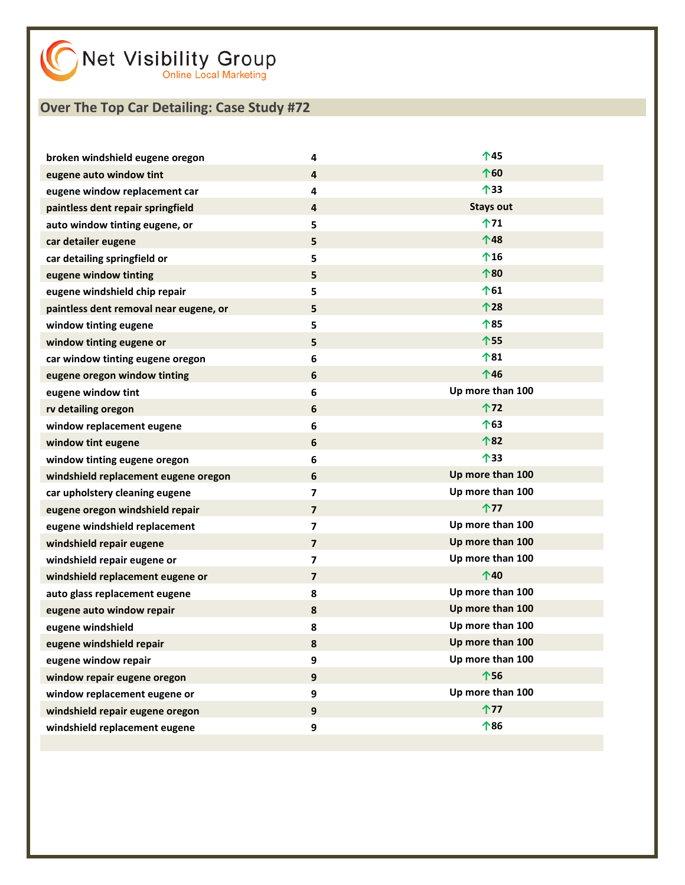| broken windshield eugene oregon        | 4                       | 个45              |
|----------------------------------------|-------------------------|------------------|
| eugene auto window tint                | $\overline{\mathbf{4}}$ | 个60              |
| eugene window replacement car          | 4                       | 个33              |
| paintless dent repair springfield      | $\overline{4}$          | <b>Stays out</b> |
| auto window tinting eugene, or         | 5                       | 个71              |
| car detailer eugene                    | 5                       | 个48              |
| car detailing springfield or           | 5                       | $^{\text{16}}$   |
| eugene window tinting                  | 5                       | 个80              |
| eugene windshield chip repair          | 5                       | <b>↑61</b>       |
| paintless dent removal near eugene, or | 5                       | 个28              |
| window tinting eugene                  | 5                       | 个85              |
| window tinting eugene or               | 5                       | 个55              |
| car window tinting eugene oregon       | 6                       | 个81              |
| eugene oregon window tinting           | $\boldsymbol{6}$        | 个46              |
| eugene window tint                     | 6                       | Up more than 100 |
| rv detailing oregon                    | 6                       | 个72              |
| window replacement eugene              | $\bf 6$                 | 个63              |
| window tint eugene                     | $\boldsymbol{6}$        | 个82              |
| window tinting eugene oregon           | 6                       | 个33              |
| windshield replacement eugene oregon   | 6                       | Up more than 100 |
| car upholstery cleaning eugene         | $\overline{\mathbf{z}}$ | Up more than 100 |
| eugene oregon windshield repair        | $\overline{\mathbf{z}}$ | 个77              |
| eugene windshield replacement          | $\overline{\mathbf{z}}$ | Up more than 100 |
| windshield repair eugene               | $\overline{\mathbf{z}}$ | Up more than 100 |
| windshield repair eugene or            | $\overline{\mathbf{z}}$ | Up more than 100 |
| windshield replacement eugene or       | $\overline{\mathbf{z}}$ | $^{\text{40}}$   |
| auto glass replacement eugene          | 8                       | Up more than 100 |
| eugene auto window repair              | 8                       | Up more than 100 |
| eugene windshield                      | 8                       | Up more than 100 |
| eugene windshield repair               | 8                       | Up more than 100 |
| eugene window repair                   | 9                       | Up more than 100 |
| window repair eugene oregon            | 9                       | 个56              |
| window replacement eugene or           | 9                       | Up more than 100 |
| windshield repair eugene oregon        | 9                       | 个77              |
| windshield replacement eugene          | 9                       | 个86              |
|                                        |                         |                  |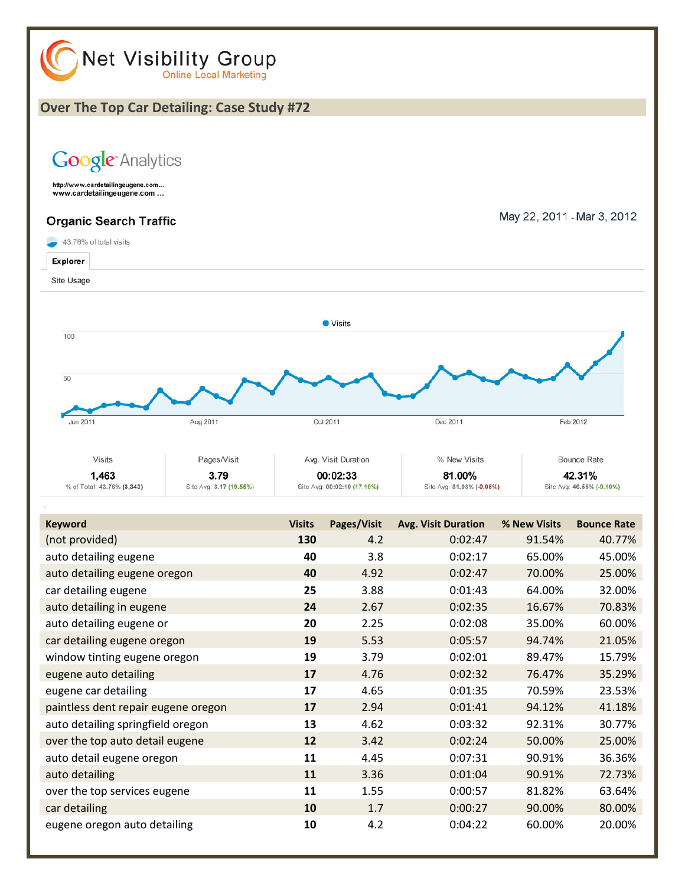

| THUL PLOVIDED.                      | TJN | 4.Z  | <u>0.02.47</u> | 51.9470 | 40.777 |
|-------------------------------------|-----|------|----------------|---------|--------|
| auto detailing eugene               | 40  | 3.8  | 0:02:17        | 65.00%  | 45.00% |
| auto detailing eugene oregon        | 40  | 4.92 | 0:02:47        | 70.00%  | 25.00% |
| car detailing eugene                | 25  | 3.88 | 0:01:43        | 64.00%  | 32.00% |
| auto detailing in eugene            | 24  | 2.67 | 0:02:35        | 16.67%  | 70.83% |
| auto detailing eugene or            | 20  | 2.25 | 0:02:08        | 35.00%  | 60.00% |
| car detailing eugene oregon         | 19  | 5.53 | 0:05:57        | 94.74%  | 21.05% |
| window tinting eugene oregon        | 19  | 3.79 | 0:02:01        | 89.47%  | 15.79% |
| eugene auto detailing               | 17  | 4.76 | 0:02:32        | 76.47%  | 35.29% |
| eugene car detailing                | 17  | 4.65 | 0:01:35        | 70.59%  | 23.53% |
| paintless dent repair eugene oregon | 17  | 2.94 | 0:01:41        | 94.12%  | 41.18% |
| auto detailing springfield oregon   | 13  | 4.62 | 0:03:32        | 92.31%  | 30.77% |
| over the top auto detail eugene     | 12  | 3.42 | 0:02:24        | 50.00%  | 25.00% |
| auto detail eugene oregon           | 11  | 4.45 | 0:07:31        | 90.91%  | 36.36% |
| auto detailing                      | 11  | 3.36 | 0:01:04        | 90.91%  | 72.73% |
| over the top services eugene        | 11  | 1.55 | 0:00:57        | 81.82%  | 63.64% |
| car detailing                       | 10  | 1.7  | 0:00:27        | 90.00%  | 80.00% |
| eugene oregon auto detailing        | 10  | 4.2  | 0:04:22        | 60.00%  | 20.00% |
|                                     |     |      |                |         |        |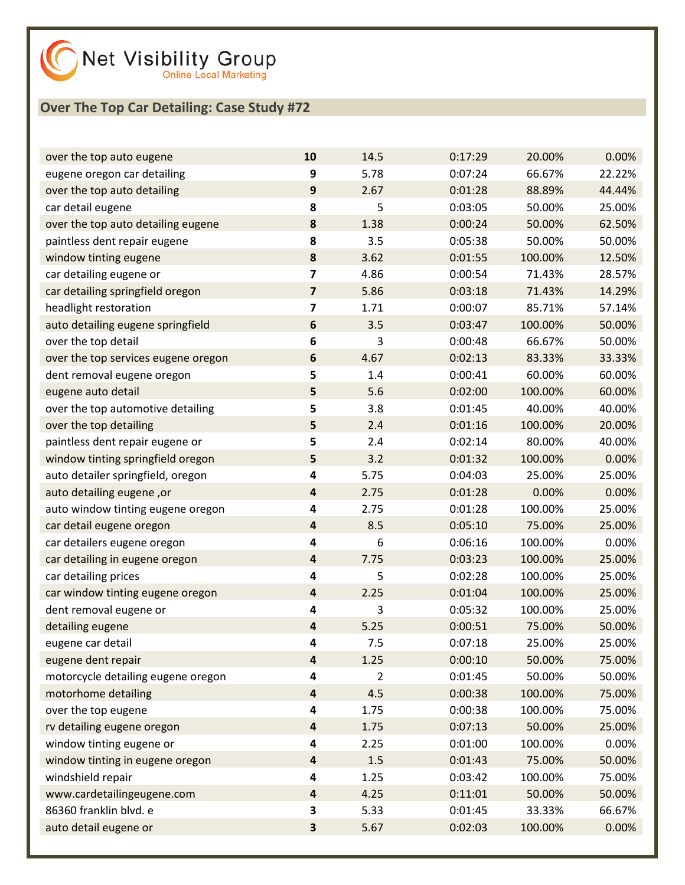

| over the top auto eugene            | 10                      | 14.5           | 0:17:29 | 20.00%  | 0.00%  |
|-------------------------------------|-------------------------|----------------|---------|---------|--------|
| eugene oregon car detailing         | 9                       | 5.78           | 0:07:24 | 66.67%  | 22.22% |
| over the top auto detailing         | 9                       | 2.67           | 0:01:28 | 88.89%  | 44.44% |
| car detail eugene                   | 8                       | 5              | 0:03:05 | 50.00%  | 25.00% |
| over the top auto detailing eugene  | 8                       | 1.38           | 0:00:24 | 50.00%  | 62.50% |
| paintless dent repair eugene        | 8                       | 3.5            | 0:05:38 | 50.00%  | 50.00% |
| window tinting eugene               | $\pmb{8}$               | 3.62           | 0:01:55 | 100.00% | 12.50% |
| car detailing eugene or             | 7                       | 4.86           | 0:00:54 | 71.43%  | 28.57% |
| car detailing springfield oregon    | $\overline{\mathbf{z}}$ | 5.86           | 0:03:18 | 71.43%  | 14.29% |
| headlight restoration               | 7                       | 1.71           | 0:00:07 | 85.71%  | 57.14% |
| auto detailing eugene springfield   | $\boldsymbol{6}$        | 3.5            | 0:03:47 | 100.00% | 50.00% |
| over the top detail                 | 6                       | 3              | 0:00:48 | 66.67%  | 50.00% |
| over the top services eugene oregon | 6                       | 4.67           | 0:02:13 | 83.33%  | 33.33% |
| dent removal eugene oregon          | 5                       | 1.4            | 0:00:41 | 60.00%  | 60.00% |
| eugene auto detail                  | 5                       | 5.6            | 0:02:00 | 100.00% | 60.00% |
| over the top automotive detailing   | 5                       | 3.8            | 0:01:45 | 40.00%  | 40.00% |
| over the top detailing              | 5                       | 2.4            | 0:01:16 | 100.00% | 20.00% |
| paintless dent repair eugene or     | 5                       | 2.4            | 0:02:14 | 80.00%  | 40.00% |
| window tinting springfield oregon   | 5                       | 3.2            | 0:01:32 | 100.00% | 0.00%  |
| auto detailer springfield, oregon   | 4                       | 5.75           | 0:04:03 | 25.00%  | 25.00% |
| auto detailing eugene, or           | 4                       | 2.75           | 0:01:28 | 0.00%   | 0.00%  |
| auto window tinting eugene oregon   | 4                       | 2.75           | 0:01:28 | 100.00% | 25.00% |
| car detail eugene oregon            | $\overline{\mathbf{4}}$ | 8.5            | 0:05:10 | 75.00%  | 25.00% |
| car detailers eugene oregon         | 4                       | 6              | 0:06:16 | 100.00% | 0.00%  |
| car detailing in eugene oregon      | $\overline{\mathbf{4}}$ | 7.75           | 0:03:23 | 100.00% | 25.00% |
| car detailing prices                | 4                       | 5              | 0:02:28 | 100.00% | 25.00% |
| car window tinting eugene oregon    | $\overline{\mathbf{4}}$ | 2.25           | 0:01:04 | 100.00% | 25.00% |
| dent removal eugene or              | 4                       | 3              | 0:05:32 | 100.00% | 25.00% |
| detailing eugene                    | 4                       | 5.25           | 0:00:51 | 75.00%  | 50.00% |
| eugene car detail                   | 4                       | 7.5            | 0:07:18 | 25.00%  | 25.00% |
| eugene dent repair                  | $\overline{\mathbf{a}}$ | 1.25           | 0:00:10 | 50.00%  | 75.00% |
| motorcycle detailing eugene oregon  | 4                       | $\overline{2}$ | 0:01:45 | 50.00%  | 50.00% |
| motorhome detailing                 | $\overline{\mathbf{4}}$ | 4.5            | 0:00:38 | 100.00% | 75.00% |
| over the top eugene                 | 4                       | 1.75           | 0:00:38 | 100.00% | 75.00% |
| rv detailing eugene oregon          | 4                       | 1.75           | 0:07:13 | 50.00%  | 25.00% |
| window tinting eugene or            | 4                       | 2.25           | 0:01:00 | 100.00% | 0.00%  |
| window tinting in eugene oregon     | $\overline{\mathbf{4}}$ | 1.5            | 0:01:43 | 75.00%  | 50.00% |
| windshield repair                   | 4                       | 1.25           | 0:03:42 | 100.00% | 75.00% |
| www.cardetailingeugene.com          | $\overline{\mathbf{r}}$ | 4.25           | 0:11:01 | 50.00%  | 50.00% |
| 86360 franklin blvd. e              | 3                       | 5.33           | 0:01:45 | 33.33%  | 66.67% |
| auto detail eugene or               | 3                       | 5.67           | 0:02:03 | 100.00% | 0.00%  |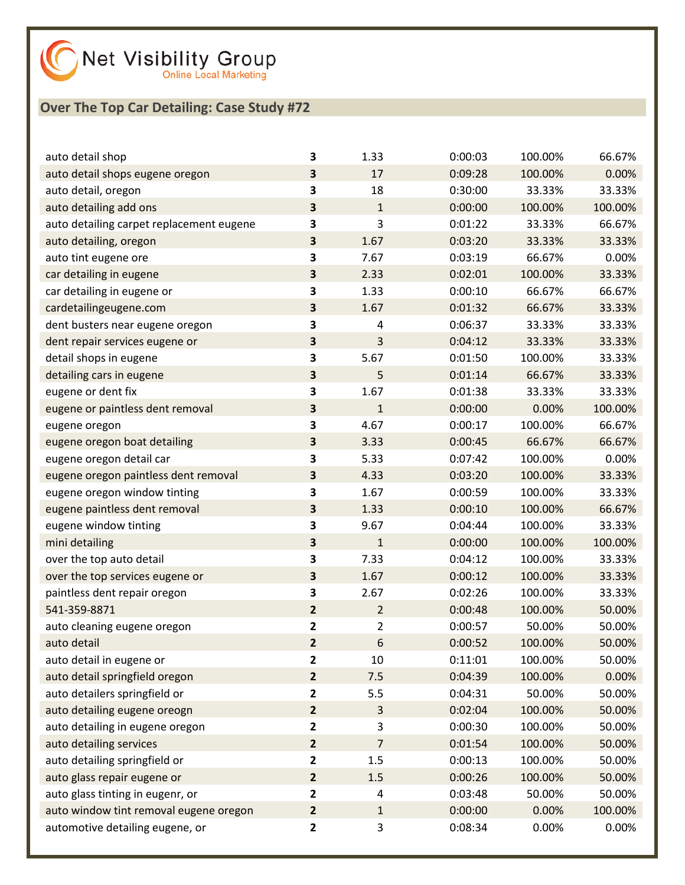

| auto detail shop                         | 3                       | 1.33           | 0:00:03 | 100.00% | 66.67%  |
|------------------------------------------|-------------------------|----------------|---------|---------|---------|
| auto detail shops eugene oregon          | 3                       | 17             | 0:09:28 | 100.00% | 0.00%   |
| auto detail, oregon                      | 3                       | 18             | 0:30:00 | 33.33%  | 33.33%  |
| auto detailing add ons                   | 3                       | $\mathbf{1}$   | 0:00:00 | 100.00% | 100.00% |
| auto detailing carpet replacement eugene | 3                       | 3              | 0:01:22 | 33.33%  | 66.67%  |
| auto detailing, oregon                   | $\overline{\mathbf{3}}$ | 1.67           | 0:03:20 | 33.33%  | 33.33%  |
| auto tint eugene ore                     | $\overline{\mathbf{3}}$ | 7.67           | 0:03:19 | 66.67%  | 0.00%   |
| car detailing in eugene                  | 3                       | 2.33           | 0:02:01 | 100.00% | 33.33%  |
| car detailing in eugene or               | 3                       | 1.33           | 0:00:10 | 66.67%  | 66.67%  |
| cardetailingeugene.com                   | $\overline{\mathbf{3}}$ | 1.67           | 0:01:32 | 66.67%  | 33.33%  |
| dent busters near eugene oregon          | 3                       | 4              | 0:06:37 | 33.33%  | 33.33%  |
| dent repair services eugene or           | 3                       | 3              | 0:04:12 | 33.33%  | 33.33%  |
| detail shops in eugene                   | 3                       | 5.67           | 0:01:50 | 100.00% | 33.33%  |
| detailing cars in eugene                 | $\overline{\mathbf{3}}$ | 5              | 0:01:14 | 66.67%  | 33.33%  |
| eugene or dent fix                       | 3                       | 1.67           | 0:01:38 | 33.33%  | 33.33%  |
| eugene or paintless dent removal         | 3                       | $\mathbf{1}$   | 0:00:00 | 0.00%   | 100.00% |
| eugene oregon                            | 3                       | 4.67           | 0:00:17 | 100.00% | 66.67%  |
| eugene oregon boat detailing             | $\overline{\mathbf{3}}$ | 3.33           | 0:00:45 | 66.67%  | 66.67%  |
| eugene oregon detail car                 | 3                       | 5.33           | 0:07:42 | 100.00% | 0.00%   |
| eugene oregon paintless dent removal     | 3                       | 4.33           | 0:03:20 | 100.00% | 33.33%  |
| eugene oregon window tinting             | 3                       | 1.67           | 0:00:59 | 100.00% | 33.33%  |
| eugene paintless dent removal            | $\overline{\mathbf{3}}$ | 1.33           | 0:00:10 | 100.00% | 66.67%  |
| eugene window tinting                    | 3                       | 9.67           | 0:04:44 | 100.00% | 33.33%  |
| mini detailing                           | 3                       | $\mathbf{1}$   | 0:00:00 | 100.00% | 100.00% |
| over the top auto detail                 | 3                       | 7.33           | 0:04:12 | 100.00% | 33.33%  |
| over the top services eugene or          | $\overline{\mathbf{3}}$ | 1.67           | 0:00:12 | 100.00% | 33.33%  |
| paintless dent repair oregon             | 3                       | 2.67           | 0:02:26 | 100.00% | 33.33%  |
| 541-359-8871                             | $\overline{2}$          | $\overline{2}$ | 0:00:48 | 100.00% | 50.00%  |
| auto cleaning eugene oregon              | $\mathbf{2}$            | 2              | 0:00:57 | 50.00%  | 50.00%  |
| auto detail                              | $\overline{2}$          | 6              | 0:00:52 | 100.00% | 50.00%  |
| auto detail in eugene or                 | $\overline{2}$          | 10             | 0:11:01 | 100.00% | 50.00%  |
| auto detail springfield oregon           | $\overline{2}$          | 7.5            | 0:04:39 | 100.00% | 0.00%   |
| auto detailers springfield or            | $\mathbf{2}$            | 5.5            | 0:04:31 | 50.00%  | 50.00%  |
| auto detailing eugene oreogn             | $\overline{2}$          | 3              | 0:02:04 | 100.00% | 50.00%  |
| auto detailing in eugene oregon          | $\overline{\mathbf{2}}$ | 3              | 0:00:30 | 100.00% | 50.00%  |
| auto detailing services                  | $\overline{2}$          | 7              | 0:01:54 | 100.00% | 50.00%  |
| auto detailing springfield or            | $\mathbf{2}$            | 1.5            | 0:00:13 | 100.00% | 50.00%  |
| auto glass repair eugene or              | $\overline{2}$          | 1.5            | 0:00:26 | 100.00% | 50.00%  |
| auto glass tinting in eugenr, or         | $\overline{2}$          | 4              | 0:03:48 | 50.00%  | 50.00%  |
| auto window tint removal eugene oregon   | $\mathbf{2}$            | $\mathbf{1}$   | 0:00:00 | 0.00%   | 100.00% |
| automotive detailing eugene, or          | 2                       | 3              | 0:08:34 | 0.00%   | 0.00%   |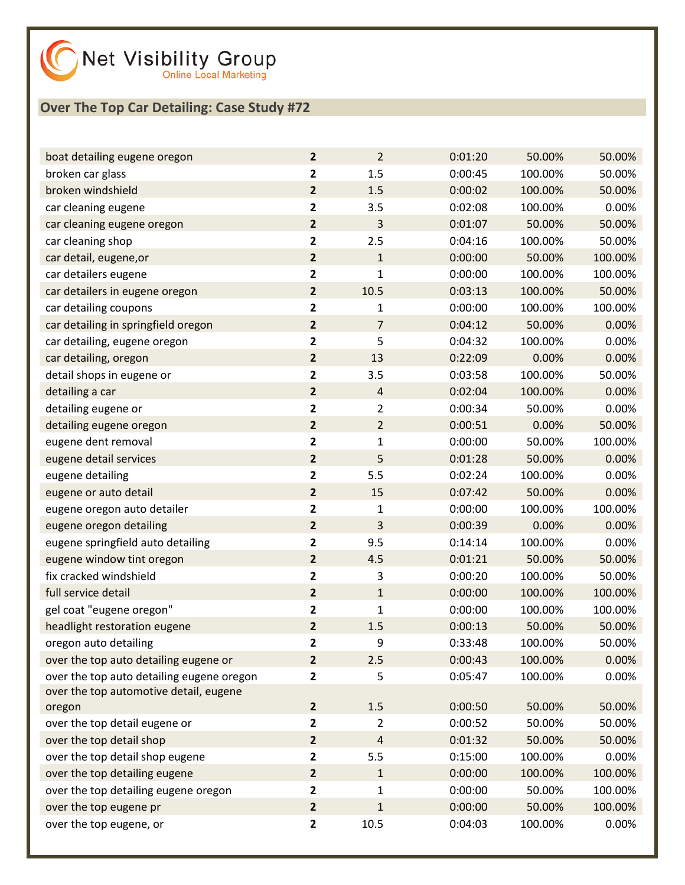

| boat detailing eugene oregon              | $\overline{2}$          | $\overline{2}$ | 0:01:20 | 50.00%  | 50.00%  |
|-------------------------------------------|-------------------------|----------------|---------|---------|---------|
| broken car glass                          | 2                       | 1.5            | 0:00:45 | 100.00% | 50.00%  |
| broken windshield                         | $\overline{2}$          | 1.5            | 0:00:02 | 100.00% | 50.00%  |
| car cleaning eugene                       | 2                       | 3.5            | 0:02:08 | 100.00% | 0.00%   |
| car cleaning eugene oregon                | $\overline{\mathbf{2}}$ | 3              | 0:01:07 | 50.00%  | 50.00%  |
| car cleaning shop                         | $\mathbf{2}$            | 2.5            | 0:04:16 | 100.00% | 50.00%  |
| car detail, eugene, or                    | $\overline{\mathbf{2}}$ | $\mathbf{1}$   | 0:00:00 | 50.00%  | 100.00% |
| car detailers eugene                      | 2                       | $\mathbf{1}$   | 0:00:00 | 100.00% | 100.00% |
| car detailers in eugene oregon            | $\overline{2}$          | 10.5           | 0:03:13 | 100.00% | 50.00%  |
| car detailing coupons                     | 2                       | 1              | 0:00:00 | 100.00% | 100.00% |
| car detailing in springfield oregon       | $\overline{\mathbf{2}}$ | $\overline{7}$ | 0:04:12 | 50.00%  | 0.00%   |
| car detailing, eugene oregon              | 2                       | 5              | 0:04:32 | 100.00% | 0.00%   |
| car detailing, oregon                     | $\overline{2}$          | 13             | 0:22:09 | 0.00%   | 0.00%   |
| detail shops in eugene or                 | 2                       | 3.5            | 0:03:58 | 100.00% | 50.00%  |
| detailing a car                           | $\overline{2}$          | $\sqrt{4}$     | 0:02:04 | 100.00% | 0.00%   |
| detailing eugene or                       | $\mathbf{2}$            | $\overline{2}$ | 0:00:34 | 50.00%  | 0.00%   |
| detailing eugene oregon                   | $\overline{\mathbf{2}}$ | $\overline{2}$ | 0:00:51 | 0.00%   | 50.00%  |
| eugene dent removal                       | 2                       | $\mathbf{1}$   | 0:00:00 | 50.00%  | 100.00% |
| eugene detail services                    | $\overline{\mathbf{2}}$ | 5              | 0:01:28 | 50.00%  | 0.00%   |
| eugene detailing                          | 2                       | 5.5            | 0:02:24 | 100.00% | 0.00%   |
| eugene or auto detail                     | $\overline{\mathbf{2}}$ | 15             | 0:07:42 | 50.00%  | 0.00%   |
| eugene oregon auto detailer               | $\mathbf{2}$            | 1              | 0:00:00 | 100.00% | 100.00% |
| eugene oregon detailing                   | $\overline{\mathbf{2}}$ | 3              | 0:00:39 | 0.00%   | 0.00%   |
| eugene springfield auto detailing         | 2                       | 9.5            | 0:14:14 | 100.00% | 0.00%   |
| eugene window tint oregon                 | $\mathbf{2}$            | 4.5            | 0:01:21 | 50.00%  | 50.00%  |
| fix cracked windshield                    | $\mathbf{2}$            | 3              | 0:00:20 | 100.00% | 50.00%  |
| full service detail                       | $\overline{\mathbf{2}}$ | $\mathbf{1}$   | 0:00:00 | 100.00% | 100.00% |
| gel coat "eugene oregon"                  | $\mathbf{2}$            | $\mathbf{1}$   | 0:00:00 | 100.00% | 100.00% |
| headlight restoration eugene              | $\overline{\mathbf{2}}$ | 1.5            | 0:00:13 | 50.00%  | 50.00%  |
| oregon auto detailing                     | 2                       | 9              | 0:33:48 | 100.00% | 50.00%  |
| over the top auto detailing eugene or     | $\mathbf{2}$            | 2.5            | 0:00:43 | 100.00% | 0.00%   |
| over the top auto detailing eugene oregon | 2                       | 5              | 0:05:47 | 100.00% | 0.00%   |
| over the top automotive detail, eugene    |                         |                |         |         |         |
| oregon                                    | $\mathbf{2}$            | $1.5\,$        | 0:00:50 | 50.00%  | 50.00%  |
| over the top detail eugene or             | $\mathbf{2}$            | $\overline{2}$ | 0:00:52 | 50.00%  | 50.00%  |
| over the top detail shop                  | $\mathbf{2}$            | $\sqrt{4}$     | 0:01:32 | 50.00%  | 50.00%  |
| over the top detail shop eugene           | $\mathbf{2}$            | 5.5            | 0:15:00 | 100.00% | 0.00%   |
| over the top detailing eugene             | $\mathbf{2}$            | $\mathbf{1}$   | 0:00:00 | 100.00% | 100.00% |
| over the top detailing eugene oregon      | $\mathbf{2}$            | 1              | 0:00:00 | 50.00%  | 100.00% |
| over the top eugene pr                    | $\mathbf{2}$            | $\mathbf{1}$   | 0:00:00 | 50.00%  | 100.00% |
| over the top eugene, or                   | $\mathbf{2}$            | 10.5           | 0:04:03 | 100.00% | 0.00%   |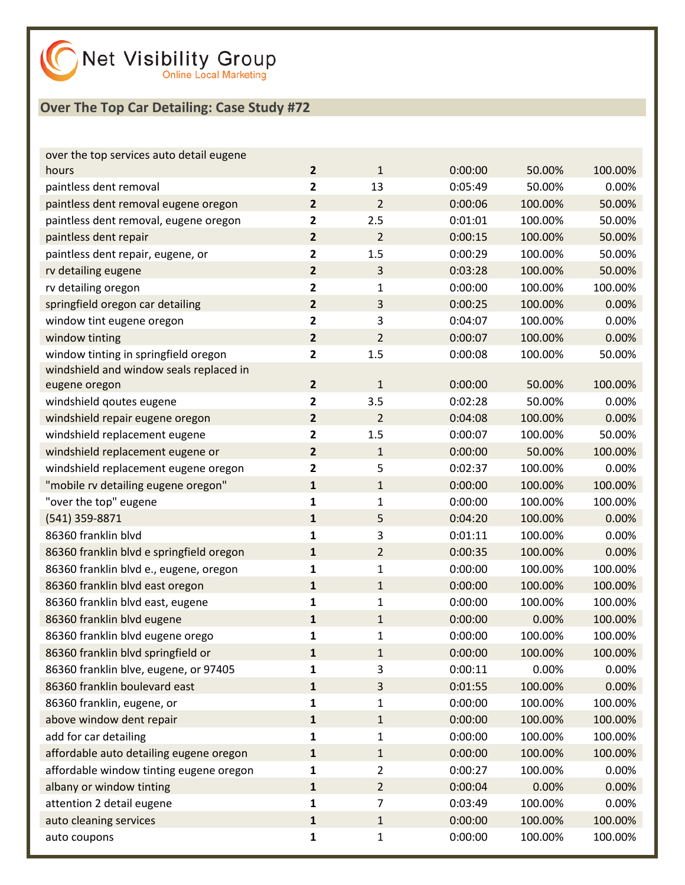| over the top services auto detail eugene |                         |                |         |         |         |
|------------------------------------------|-------------------------|----------------|---------|---------|---------|
| hours                                    | $\overline{2}$          | $\mathbf{1}$   | 0:00:00 | 50.00%  | 100.00% |
| paintless dent removal                   | $\mathbf{2}$            | 13             | 0:05:49 | 50.00%  | 0.00%   |
| paintless dent removal eugene oregon     | $\overline{2}$          | $\overline{2}$ | 0:00:06 | 100.00% | 50.00%  |
| paintless dent removal, eugene oregon    | 2                       | 2.5            | 0:01:01 | 100.00% | 50.00%  |
| paintless dent repair                    | $\mathbf{2}$            | $\overline{2}$ | 0:00:15 | 100.00% | 50.00%  |
| paintless dent repair, eugene, or        | $\mathbf{2}$            | 1.5            | 0:00:29 | 100.00% | 50.00%  |
| rv detailing eugene                      | $\overline{2}$          | 3              | 0:03:28 | 100.00% | 50.00%  |
| rv detailing oregon                      | 2                       | $\mathbf{1}$   | 0:00:00 | 100.00% | 100.00% |
| springfield oregon car detailing         | $\mathbf{2}$            | 3              | 0:00:25 | 100.00% | 0.00%   |
| window tint eugene oregon                | $\mathbf{2}$            | 3              | 0:04:07 | 100.00% | 0.00%   |
| window tinting                           | $\overline{2}$          | $\overline{2}$ | 0:00:07 | 100.00% | 0.00%   |
| window tinting in springfield oregon     | 2                       | 1.5            | 0:00:08 | 100.00% | 50.00%  |
| windshield and window seals replaced in  |                         |                |         |         |         |
| eugene oregon                            | $\overline{2}$          | $\mathbf{1}$   | 0:00:00 | 50.00%  | 100.00% |
| windshield goutes eugene                 | $\overline{\mathbf{2}}$ | 3.5            | 0:02:28 | 50.00%  | 0.00%   |
| windshield repair eugene oregon          | $\overline{2}$          | $\overline{2}$ | 0:04:08 | 100.00% | 0.00%   |
| windshield replacement eugene            | $\mathbf{2}$            | 1.5            | 0:00:07 | 100.00% | 50.00%  |
| windshield replacement eugene or         | $\mathbf{2}$            | $\mathbf{1}$   | 0:00:00 | 50.00%  | 100.00% |
| windshield replacement eugene oregon     | 2                       | 5              | 0:02:37 | 100.00% | 0.00%   |
| "mobile rv detailing eugene oregon"      | $\mathbf{1}$            | $\mathbf{1}$   | 0:00:00 | 100.00% | 100.00% |
| "over the top" eugene                    | 1                       | 1              | 0:00:00 | 100.00% | 100.00% |
| (541) 359-8871                           | $\mathbf{1}$            | 5              | 0:04:20 | 100.00% | 0.00%   |
| 86360 franklin blvd                      | 1                       | 3              | 0:01:11 | 100.00% | 0.00%   |
| 86360 franklin blvd e springfield oregon | $\mathbf{1}$            | $\overline{2}$ | 0:00:35 | 100.00% | 0.00%   |
| 86360 franklin blvd e., eugene, oregon   | 1                       | 1              | 0:00:00 | 100.00% | 100.00% |
| 86360 franklin blvd east oregon          | $\mathbf{1}$            | $\mathbf{1}$   | 0:00:00 | 100.00% | 100.00% |
| 86360 franklin blvd east, eugene         | 1                       | 1              | 0:00:00 | 100.00% | 100.00% |
| 86360 franklin blvd eugene               | $\mathbf{1}$            | $\mathbf{1}$   | 0:00:00 | 0.00%   | 100.00% |
| 86360 franklin blvd eugene orego         | 1                       | $\mathbf 1$    | 0:00:00 | 100.00% | 100.00% |
| 86360 franklin blvd springfield or       | 1                       | $\mathbf{1}$   | 0:00:00 | 100.00% | 100.00% |
| 86360 franklin blve, eugene, or 97405    | 1                       | 3              | 0:00:11 | 0.00%   | 0.00%   |
| 86360 franklin boulevard east            | $\mathbf{1}$            | 3              | 0:01:55 | 100.00% | 0.00%   |
| 86360 franklin, eugene, or               | 1                       | 1              | 0:00:00 | 100.00% | 100.00% |
| above window dent repair                 | $\mathbf{1}$            | $\mathbf{1}$   | 0:00:00 | 100.00% | 100.00% |
| add for car detailing                    | 1                       | 1              | 0:00:00 | 100.00% | 100.00% |
| affordable auto detailing eugene oregon  | $\mathbf{1}$            | $\mathbf{1}$   | 0:00:00 | 100.00% | 100.00% |
| affordable window tinting eugene oregon  | 1                       | 2              | 0:00:27 | 100.00% | 0.00%   |
| albany or window tinting                 | $\mathbf{1}$            | $\overline{2}$ | 0:00:04 | 0.00%   | 0.00%   |
| attention 2 detail eugene                | $\mathbf{1}$            | 7              | 0:03:49 | 100.00% | 0.00%   |
| auto cleaning services                   | $\mathbf{1}$            | $\mathbf{1}$   | 0:00:00 | 100.00% | 100.00% |
| auto coupons                             | 1                       | 1              | 0:00:00 | 100.00% | 100.00% |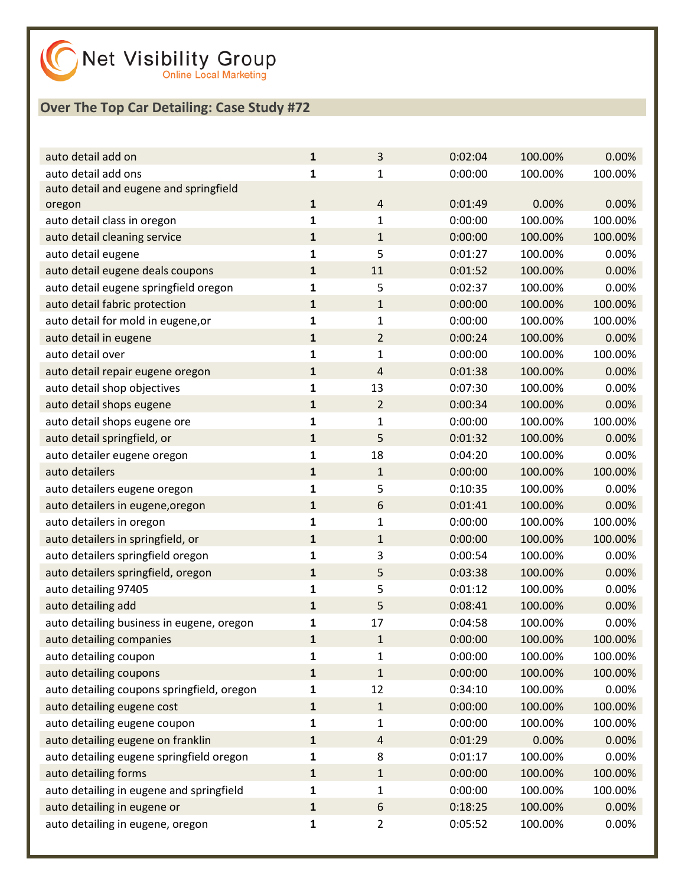

| auto detail add on                         | $\mathbf{1}$ | 3              | 0:02:04 | 100.00% | 0.00%   |
|--------------------------------------------|--------------|----------------|---------|---------|---------|
| auto detail add ons                        | 1            | 1              | 0:00:00 | 100.00% | 100.00% |
| auto detail and eugene and springfield     |              |                |         |         |         |
| oregon                                     | $\mathbf{1}$ | $\overline{4}$ | 0:01:49 | 0.00%   | 0.00%   |
| auto detail class in oregon                | $\mathbf{1}$ | 1              | 0:00:00 | 100.00% | 100.00% |
| auto detail cleaning service               | $\mathbf 1$  | $\mathbf{1}$   | 0:00:00 | 100.00% | 100.00% |
| auto detail eugene                         | $\mathbf{1}$ | 5              | 0:01:27 | 100.00% | 0.00%   |
| auto detail eugene deals coupons           | $\mathbf{1}$ | 11             | 0:01:52 | 100.00% | 0.00%   |
| auto detail eugene springfield oregon      | 1            | 5              | 0:02:37 | 100.00% | 0.00%   |
| auto detail fabric protection              | $\mathbf{1}$ | $\mathbf{1}$   | 0:00:00 | 100.00% | 100.00% |
| auto detail for mold in eugene, or         | 1            | 1              | 0:00:00 | 100.00% | 100.00% |
| auto detail in eugene                      | $\mathbf{1}$ | $\overline{2}$ | 0:00:24 | 100.00% | 0.00%   |
| auto detail over                           | 1            | 1              | 0:00:00 | 100.00% | 100.00% |
| auto detail repair eugene oregon           | $\mathbf 1$  | 4              | 0:01:38 | 100.00% | 0.00%   |
| auto detail shop objectives                | $\mathbf{1}$ | 13             | 0:07:30 | 100.00% | 0.00%   |
| auto detail shops eugene                   | $\mathbf{1}$ | $\overline{2}$ | 0:00:34 | 100.00% | 0.00%   |
| auto detail shops eugene ore               | 1            | 1              | 0:00:00 | 100.00% | 100.00% |
| auto detail springfield, or                | $\mathbf 1$  | 5              | 0:01:32 | 100.00% | 0.00%   |
| auto detailer eugene oregon                | $\mathbf{1}$ | 18             | 0:04:20 | 100.00% | 0.00%   |
| auto detailers                             | $\mathbf{1}$ | $\mathbf{1}$   | 0:00:00 | 100.00% | 100.00% |
| auto detailers eugene oregon               | 1            | 5              | 0:10:35 | 100.00% | 0.00%   |
| auto detailers in eugene, oregon           | $\mathbf 1$  | 6              | 0:01:41 | 100.00% | 0.00%   |
| auto detailers in oregon                   | $\mathbf{1}$ | 1              | 0:00:00 | 100.00% | 100.00% |
| auto detailers in springfield, or          | $\mathbf{1}$ | $\mathbf{1}$   | 0:00:00 | 100.00% | 100.00% |
| auto detailers springfield oregon          | 1            | 3              | 0:00:54 | 100.00% | 0.00%   |
| auto detailers springfield, oregon         | $\mathbf 1$  | 5              | 0:03:38 | 100.00% | 0.00%   |
| auto detailing 97405                       | $\mathbf{1}$ | 5              | 0:01:12 | 100.00% | 0.00%   |
| auto detailing add                         | $\mathbf{1}$ | 5              | 0:08:41 | 100.00% | 0.00%   |
| auto detailing business in eugene, oregon  | 1            | 17             | 0:04:58 | 100.00% | 0.00%   |
| auto detailing companies                   | $\mathbf{1}$ | $\mathbf{1}$   | 0:00:00 | 100.00% | 100.00% |
| auto detailing coupon                      | 1            | 1              | 0:00:00 | 100.00% | 100.00% |
| auto detailing coupons                     | $\mathbf{1}$ | $\mathbf{1}$   | 0:00:00 | 100.00% | 100.00% |
| auto detailing coupons springfield, oregon | 1            | 12             | 0:34:10 | 100.00% | 0.00%   |
| auto detailing eugene cost                 | $\mathbf{1}$ | $\mathbf{1}$   | 0:00:00 | 100.00% | 100.00% |
| auto detailing eugene coupon               | 1            | 1              | 0:00:00 | 100.00% | 100.00% |
| auto detailing eugene on franklin          | $\mathbf{1}$ | $\overline{4}$ | 0:01:29 | 0.00%   | 0.00%   |
| auto detailing eugene springfield oregon   | 1            | 8              | 0:01:17 | 100.00% | 0.00%   |
| auto detailing forms                       | $\mathbf{1}$ | $\mathbf{1}$   | 0:00:00 | 100.00% | 100.00% |
| auto detailing in eugene and springfield   | 1            | 1              | 0:00:00 | 100.00% | 100.00% |
| auto detailing in eugene or                | $\mathbf{1}$ | 6              | 0:18:25 | 100.00% | 0.00%   |
| auto detailing in eugene, oregon           | 1            | 2              | 0:05:52 | 100.00% | 0.00%   |
|                                            |              |                |         |         |         |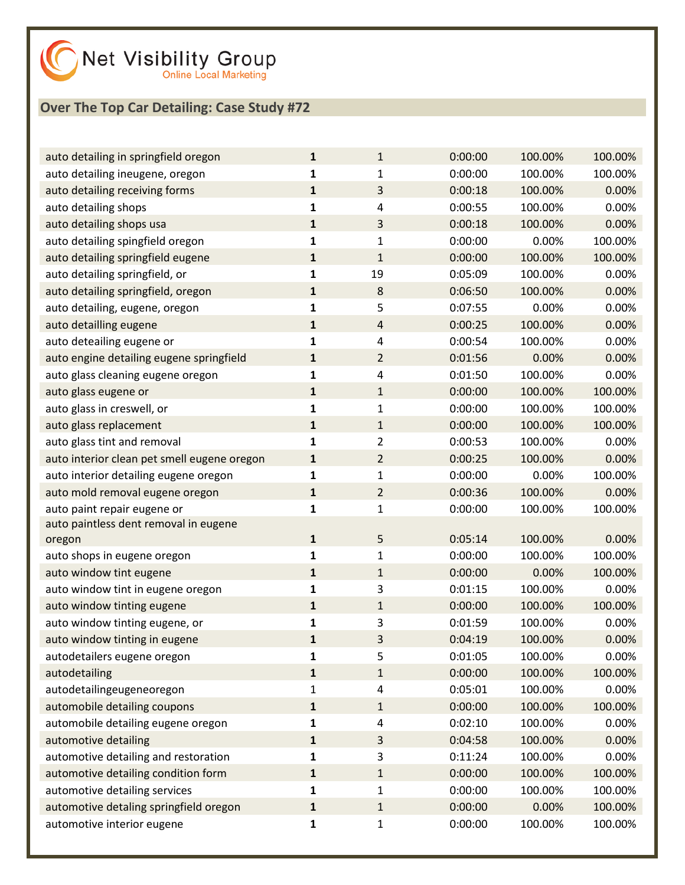| auto detailing in springfield oregon        | 1            | $\mathbf{1}$   | 0:00:00 | 100.00% | 100.00% |
|---------------------------------------------|--------------|----------------|---------|---------|---------|
| auto detailing ineugene, oregon             | 1            | 1              | 0:00:00 | 100.00% | 100.00% |
| auto detailing receiving forms              | $\mathbf{1}$ | 3              | 0:00:18 | 100.00% | 0.00%   |
| auto detailing shops                        | $\mathbf{1}$ | 4              | 0:00:55 | 100.00% | 0.00%   |
| auto detailing shops usa                    | $\mathbf{1}$ | 3              | 0:00:18 | 100.00% | 0.00%   |
| auto detailing spingfield oregon            | 1            | 1              | 0:00:00 | 0.00%   | 100.00% |
| auto detailing springfield eugene           | $\mathbf{1}$ | $\mathbf{1}$   | 0:00:00 | 100.00% | 100.00% |
| auto detailing springfield, or              | $\mathbf{1}$ | 19             | 0:05:09 | 100.00% | 0.00%   |
| auto detailing springfield, oregon          | $\mathbf{1}$ | 8              | 0:06:50 | 100.00% | 0.00%   |
| auto detailing, eugene, oregon              | 1            | 5              | 0:07:55 | 0.00%   | 0.00%   |
| auto detailling eugene                      | $\mathbf{1}$ | 4              | 0:00:25 | 100.00% | 0.00%   |
| auto deteailing eugene or                   | $\mathbf{1}$ | 4              | 0:00:54 | 100.00% | 0.00%   |
| auto engine detailing eugene springfield    | $\mathbf{1}$ | $\overline{2}$ | 0:01:56 | 0.00%   | 0.00%   |
| auto glass cleaning eugene oregon           | 1            | 4              | 0:01:50 | 100.00% | 0.00%   |
| auto glass eugene or                        | $\mathbf{1}$ | $\mathbf{1}$   | 0:00:00 | 100.00% | 100.00% |
| auto glass in creswell, or                  | 1            | $\mathbf{1}$   | 0:00:00 | 100.00% | 100.00% |
| auto glass replacement                      | $\mathbf{1}$ | $\mathbf{1}$   | 0:00:00 | 100.00% | 100.00% |
| auto glass tint and removal                 | $\mathbf{1}$ | 2              | 0:00:53 | 100.00% | 0.00%   |
| auto interior clean pet smell eugene oregon | $\mathbf{1}$ | $\overline{2}$ | 0:00:25 | 100.00% | 0.00%   |
| auto interior detailing eugene oregon       | $\mathbf{1}$ | $\mathbf{1}$   | 0:00:00 | 0.00%   | 100.00% |
| auto mold removal eugene oregon             | $\mathbf{1}$ | $\overline{2}$ | 0:00:36 | 100.00% | 0.00%   |
| auto paint repair eugene or                 | 1            | $\mathbf{1}$   | 0:00:00 | 100.00% | 100.00% |
| auto paintless dent removal in eugene       |              |                |         |         |         |
| oregon                                      | $\mathbf{1}$ | 5              | 0:05:14 | 100.00% | 0.00%   |
| auto shops in eugene oregon                 | 1            | $\mathbf{1}$   | 0:00:00 | 100.00% | 100.00% |
| auto window tint eugene                     | $\mathbf{1}$ | $\mathbf{1}$   | 0:00:00 | 0.00%   | 100.00% |
| auto window tint in eugene oregon           | 1            | 3              | 0:01:15 | 100.00% | 0.00%   |
| auto window tinting eugene                  | $\mathbf{1}$ | $\mathbf{1}$   | 0:00:00 | 100.00% | 100.00% |
| auto window tinting eugene, or              | 1            | 3              | 0:01:59 | 100.00% | 0.00%   |
| auto window tinting in eugene               | $\mathbf{1}$ | 3              | 0:04:19 | 100.00% | 0.00%   |
| autodetailers eugene oregon                 | 1            | 5              | 0:01:05 | 100.00% | 0.00%   |
| autodetailing                               | 1            | $\mathbf{1}$   | 0:00:00 | 100.00% | 100.00% |
| autodetailingeugeneoregon                   | 1            | 4              | 0:05:01 | 100.00% | 0.00%   |
| automobile detailing coupons                | $\mathbf{1}$ | $\mathbf{1}$   | 0:00:00 | 100.00% | 100.00% |
| automobile detailing eugene oregon          | 1            | 4              | 0:02:10 | 100.00% | 0.00%   |
| automotive detailing                        | $\mathbf{1}$ | 3              | 0:04:58 | 100.00% | 0.00%   |
| automotive detailing and restoration        | 1            | 3              | 0:11:24 | 100.00% | 0.00%   |
| automotive detailing condition form         | $\mathbf{1}$ | $\mathbf{1}$   | 0:00:00 | 100.00% | 100.00% |
| automotive detailing services               | 1            | 1              | 0:00:00 | 100.00% | 100.00% |
| automotive detaling springfield oregon      | $\mathbf{1}$ | $\mathbf{1}$   | 0:00:00 | 0.00%   | 100.00% |
| automotive interior eugene                  | 1            | 1              | 0:00:00 | 100.00% | 100.00% |
|                                             |              |                |         |         |         |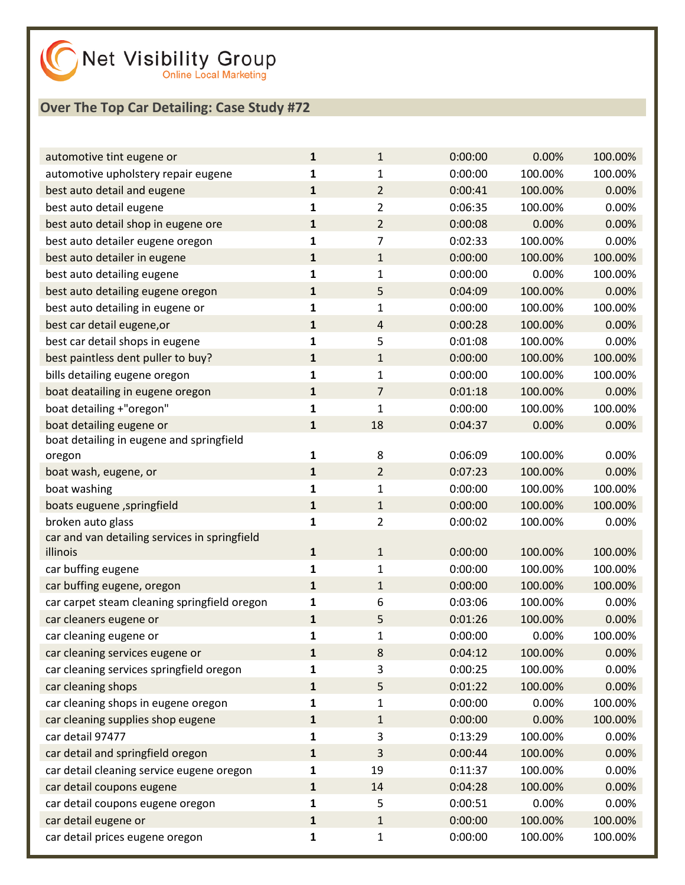| automotive tint eugene or                                 | $\mathbf{1}$ | 1              | 0:00:00 | 0.00%   | 100.00% |
|-----------------------------------------------------------|--------------|----------------|---------|---------|---------|
| automotive upholstery repair eugene                       | 1            | 1              | 0:00:00 | 100.00% | 100.00% |
| best auto detail and eugene                               | $\mathbf{1}$ | $\overline{2}$ | 0:00:41 | 100.00% | 0.00%   |
| best auto detail eugene                                   | 1            | $\overline{2}$ | 0:06:35 | 100.00% | 0.00%   |
| best auto detail shop in eugene ore                       | $\mathbf{1}$ | $\overline{2}$ | 0:00:08 | 0.00%   | 0.00%   |
| best auto detailer eugene oregon                          | 1            | 7              | 0:02:33 | 100.00% | 0.00%   |
| best auto detailer in eugene                              | $\mathbf{1}$ | $\mathbf{1}$   | 0:00:00 | 100.00% | 100.00% |
| best auto detailing eugene                                | 1            | $\mathbf{1}$   | 0:00:00 | 0.00%   | 100.00% |
| best auto detailing eugene oregon                         | $\mathbf{1}$ | 5              | 0:04:09 | 100.00% | 0.00%   |
| best auto detailing in eugene or                          | 1            | 1              | 0:00:00 | 100.00% | 100.00% |
| best car detail eugene, or                                | $\mathbf{1}$ | 4              | 0:00:28 | 100.00% | 0.00%   |
| best car detail shops in eugene                           | 1            | 5              | 0:01:08 | 100.00% | 0.00%   |
| best paintless dent puller to buy?                        | $\mathbf{1}$ | $\mathbf{1}$   | 0:00:00 | 100.00% | 100.00% |
| bills detailing eugene oregon                             | 1            | $\mathbf{1}$   | 0:00:00 | 100.00% | 100.00% |
| boat deatailing in eugene oregon                          | $\mathbf{1}$ | 7              | 0:01:18 | 100.00% | 0.00%   |
| boat detailing +"oregon"                                  | 1            | $\mathbf{1}$   | 0:00:00 | 100.00% | 100.00% |
| boat detailing eugene or                                  | $\mathbf{1}$ | 18             | 0:04:37 | 0.00%   | 0.00%   |
| boat detailing in eugene and springfield                  |              |                |         |         |         |
| oregon                                                    | 1            | 8              | 0:06:09 | 100.00% | 0.00%   |
| boat wash, eugene, or                                     | $\mathbf{1}$ | $\overline{2}$ | 0:07:23 | 100.00% | 0.00%   |
| boat washing                                              | 1            | $\mathbf{1}$   | 0:00:00 | 100.00% | 100.00% |
| boats euguene, springfield                                | $\mathbf{1}$ | $\mathbf{1}$   | 0:00:00 | 100.00% | 100.00% |
| broken auto glass                                         | 1            | $\overline{2}$ | 0:00:02 | 100.00% | 0.00%   |
| car and van detailing services in springfield<br>illinois | $\mathbf{1}$ | $\mathbf{1}$   | 0:00:00 | 100.00% | 100.00% |
| car buffing eugene                                        | $\mathbf{1}$ | $\mathbf{1}$   | 0:00:00 | 100.00% | 100.00% |
| car buffing eugene, oregon                                | $\mathbf{1}$ | $\mathbf{1}$   | 0:00:00 | 100.00% | 100.00% |
| car carpet steam cleaning springfield oregon              | 1            | 6              | 0:03:06 | 100.00% | 0.00%   |
| car cleaners eugene or                                    | $\mathbf{1}$ | 5              | 0:01:26 | 100.00% | 0.00%   |
| car cleaning eugene or                                    | 1            | $\mathbf{1}$   | 0:00:00 | 0.00%   | 100.00% |
| car cleaning services eugene or                           | 1            | 8              | 0:04:12 | 100.00% | 0.00%   |
| car cleaning services springfield oregon                  | 1            | 3              | 0:00:25 | 100.00% | 0.00%   |
| car cleaning shops                                        | 1            | 5              | 0:01:22 | 100.00% | 0.00%   |
| car cleaning shops in eugene oregon                       | 1            | 1              | 0:00:00 | 0.00%   | 100.00% |
| car cleaning supplies shop eugene                         | $\mathbf{1}$ | $\mathbf{1}$   | 0:00:00 | 0.00%   | 100.00% |
| car detail 97477                                          | 1            | 3              | 0:13:29 | 100.00% | 0.00%   |
| car detail and springfield oregon                         | 1            | 3              | 0:00:44 | 100.00% | 0.00%   |
| car detail cleaning service eugene oregon                 | 1            | 19             | 0:11:37 | 100.00% | 0.00%   |
| car detail coupons eugene                                 | $\mathbf{1}$ | 14             | 0:04:28 | 100.00% | 0.00%   |
| car detail coupons eugene oregon                          | 1            | 5              | 0:00:51 | 0.00%   | 0.00%   |
| car detail eugene or                                      | $\mathbf{1}$ | $\mathbf{1}$   | 0:00:00 | 100.00% | 100.00% |
| car detail prices eugene oregon                           | 1            | $\mathbf{1}$   | 0:00:00 | 100.00% | 100.00% |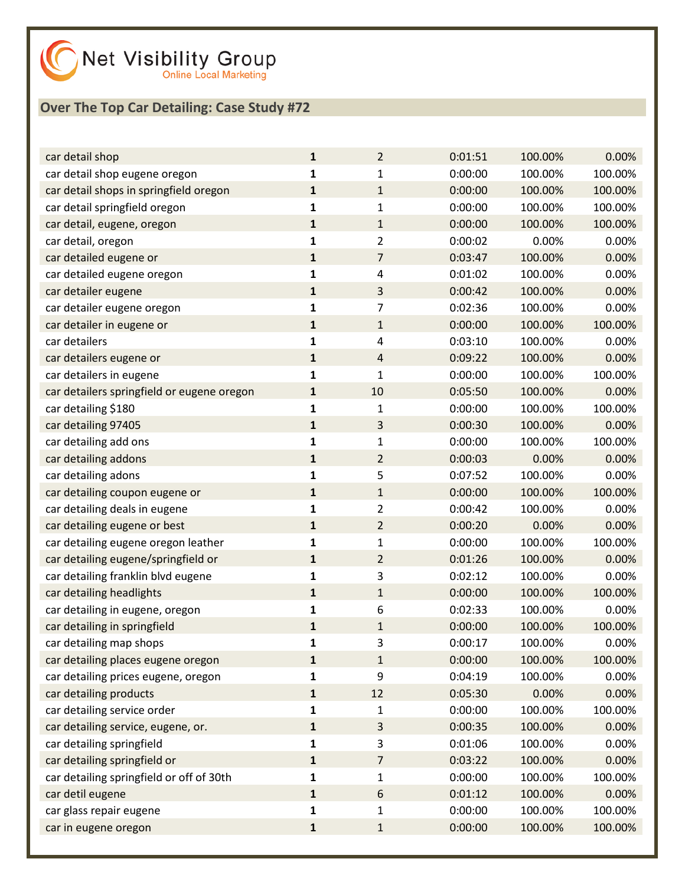| car detail shop                            | ${\bf 1}$    | $\overline{2}$ | 0:01:51 | 100.00% | 0.00%   |
|--------------------------------------------|--------------|----------------|---------|---------|---------|
| car detail shop eugene oregon              | 1            | $\mathbf{1}$   | 0:00:00 | 100.00% | 100.00% |
| car detail shops in springfield oregon     | $\mathbf{1}$ | $\mathbf{1}$   | 0:00:00 | 100.00% | 100.00% |
| car detail springfield oregon              | $\mathbf{1}$ | $\mathbf{1}$   | 0:00:00 | 100.00% | 100.00% |
| car detail, eugene, oregon                 | $\mathbf{1}$ | $\mathbf{1}$   | 0:00:00 | 100.00% | 100.00% |
| car detail, oregon                         | 1            | 2              | 0:00:02 | 0.00%   | 0.00%   |
| car detailed eugene or                     | $\mathbf{1}$ | $\overline{7}$ | 0:03:47 | 100.00% | 0.00%   |
| car detailed eugene oregon                 | 1            | 4              | 0:01:02 | 100.00% | 0.00%   |
| car detailer eugene                        | $\mathbf{1}$ | 3              | 0:00:42 | 100.00% | 0.00%   |
| car detailer eugene oregon                 | 1            | 7              | 0:02:36 | 100.00% | 0.00%   |
| car detailer in eugene or                  | $\mathbf{1}$ | $\mathbf{1}$   | 0:00:00 | 100.00% | 100.00% |
| car detailers                              | 1            | 4              | 0:03:10 | 100.00% | 0.00%   |
| car detailers eugene or                    | $\mathbf{1}$ | $\sqrt{4}$     | 0:09:22 | 100.00% | 0.00%   |
| car detailers in eugene                    | 1            | $\mathbf{1}$   | 0:00:00 | 100.00% | 100.00% |
| car detailers springfield or eugene oregon | $\mathbf{1}$ | 10             | 0:05:50 | 100.00% | 0.00%   |
| car detailing \$180                        | 1            | 1              | 0:00:00 | 100.00% | 100.00% |
| car detailing 97405                        | $\mathbf{1}$ | 3              | 0:00:30 | 100.00% | 0.00%   |
| car detailing add ons                      | 1            | $\mathbf{1}$   | 0:00:00 | 100.00% | 100.00% |
| car detailing addons                       | $\mathbf{1}$ | $\overline{2}$ | 0:00:03 | 0.00%   | 0.00%   |
| car detailing adons                        | 1            | 5              | 0:07:52 | 100.00% | 0.00%   |
| car detailing coupon eugene or             | $\mathbf{1}$ | $\mathbf{1}$   | 0:00:00 | 100.00% | 100.00% |
| car detailing deals in eugene              | 1            | $\overline{2}$ | 0:00:42 | 100.00% | 0.00%   |
| car detailing eugene or best               | $\mathbf{1}$ | $\overline{2}$ | 0:00:20 | 0.00%   | 0.00%   |
| car detailing eugene oregon leather        | 1            | $\mathbf{1}$   | 0:00:00 | 100.00% | 100.00% |
| car detailing eugene/springfield or        | ${\bf 1}$    | $\overline{2}$ | 0:01:26 | 100.00% | 0.00%   |
| car detailing franklin blvd eugene         | 1            | 3              | 0:02:12 | 100.00% | 0.00%   |
| car detailing headlights                   | $\mathbf{1}$ | $\mathbf{1}$   | 0:00:00 | 100.00% | 100.00% |
| car detailing in eugene, oregon            | 1            | 6              | 0:02:33 | 100.00% | 0.00%   |
| car detailing in springfield               | $\mathbf{1}$ | $\mathbf 1$    | 0:00:00 | 100.00% | 100.00% |
| car detailing map shops                    | 1            | 3              | 0:00:17 | 100.00% | 0.00%   |
| car detailing places eugene oregon         | ${\bf 1}$    | $\mathbf{1}$   | 0:00:00 | 100.00% | 100.00% |
| car detailing prices eugene, oregon        | 1            | 9              | 0:04:19 | 100.00% | 0.00%   |
| car detailing products                     | 1            | 12             | 0:05:30 | 0.00%   | 0.00%   |
| car detailing service order                | 1            | 1              | 0:00:00 | 100.00% | 100.00% |
| car detailing service, eugene, or.         | 1            | 3              | 0:00:35 | 100.00% | 0.00%   |
| car detailing springfield                  | 1            | 3              | 0:01:06 | 100.00% | 0.00%   |
| car detailing springfield or               | 1            | $\overline{7}$ | 0:03:22 | 100.00% | 0.00%   |
| car detailing springfield or off of 30th   | 1            | $\mathbf{1}$   | 0:00:00 | 100.00% | 100.00% |
| car detil eugene                           | 1            | $6\,$          | 0:01:12 | 100.00% | 0.00%   |
| car glass repair eugene                    | 1            | $\mathbf{1}$   | 0:00:00 | 100.00% | 100.00% |
| car in eugene oregon                       | $\mathbf 1$  | $\mathbf 1$    | 0:00:00 | 100.00% | 100.00% |
|                                            |              |                |         |         |         |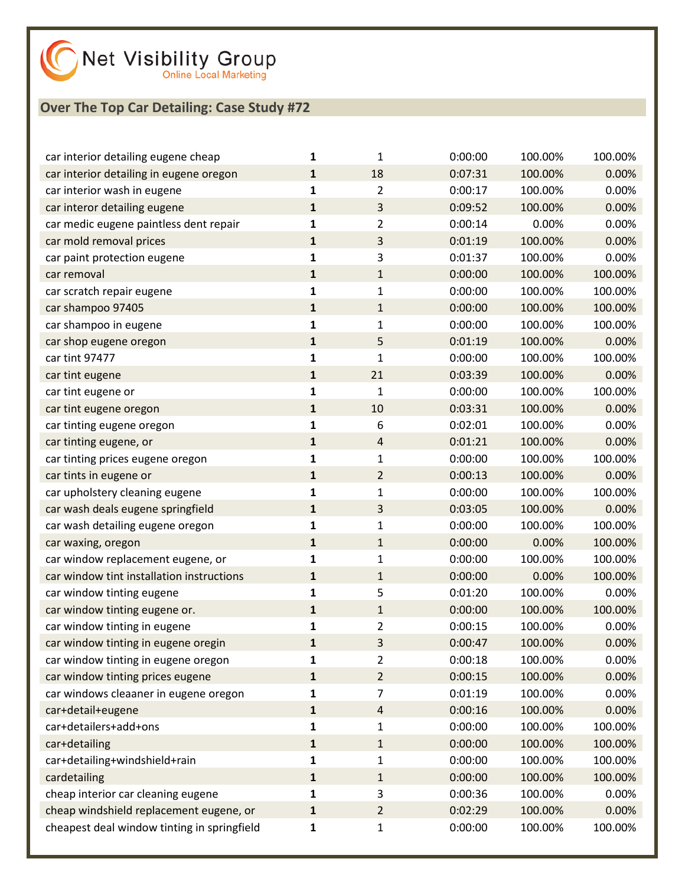| car interior detailing eugene cheap         | 1            | 1              | 0:00:00 | 100.00% | 100.00% |
|---------------------------------------------|--------------|----------------|---------|---------|---------|
| car interior detailing in eugene oregon     | $\mathbf{1}$ | 18             | 0:07:31 | 100.00% | 0.00%   |
| car interior wash in eugene                 | 1            | 2              | 0:00:17 | 100.00% | 0.00%   |
| car interor detailing eugene                | $\mathbf{1}$ | 3              | 0:09:52 | 100.00% | 0.00%   |
| car medic eugene paintless dent repair      | 1            | 2              | 0:00:14 | 0.00%   | 0.00%   |
| car mold removal prices                     | $\mathbf{1}$ | 3              | 0:01:19 | 100.00% | 0.00%   |
| car paint protection eugene                 | 1            | 3              | 0:01:37 | 100.00% | 0.00%   |
| car removal                                 | $\mathbf{1}$ | $\mathbf{1}$   | 0:00:00 | 100.00% | 100.00% |
| car scratch repair eugene                   | $\mathbf{1}$ | 1              | 0:00:00 | 100.00% | 100.00% |
| car shampoo 97405                           | $\mathbf{1}$ | $\mathbf{1}$   | 0:00:00 | 100.00% | 100.00% |
| car shampoo in eugene                       | 1            | 1              | 0:00:00 | 100.00% | 100.00% |
| car shop eugene oregon                      | $\mathbf{1}$ | 5              | 0:01:19 | 100.00% | 0.00%   |
| car tint 97477                              | 1            | 1              | 0:00:00 | 100.00% | 100.00% |
| car tint eugene                             | $\mathbf{1}$ | 21             | 0:03:39 | 100.00% | 0.00%   |
| car tint eugene or                          | 1            | 1              | 0:00:00 | 100.00% | 100.00% |
| car tint eugene oregon                      | $\mathbf{1}$ | 10             | 0:03:31 | 100.00% | 0.00%   |
| car tinting eugene oregon                   | 1            | 6              | 0:02:01 | 100.00% | 0.00%   |
| car tinting eugene, or                      | $\mathbf{1}$ | $\overline{4}$ | 0:01:21 | 100.00% | 0.00%   |
| car tinting prices eugene oregon            | 1            | 1              | 0:00:00 | 100.00% | 100.00% |
| car tints in eugene or                      | $\mathbf{1}$ | $\overline{2}$ | 0:00:13 | 100.00% | 0.00%   |
| car upholstery cleaning eugene              | 1            | 1              | 0:00:00 | 100.00% | 100.00% |
| car wash deals eugene springfield           | $\mathbf{1}$ | 3              | 0:03:05 | 100.00% | 0.00%   |
| car wash detailing eugene oregon            | 1            | 1              | 0:00:00 | 100.00% | 100.00% |
| car waxing, oregon                          | $\mathbf{1}$ | $\mathbf{1}$   | 0:00:00 | 0.00%   | 100.00% |
| car window replacement eugene, or           | 1            | 1              | 0:00:00 | 100.00% | 100.00% |
| car window tint installation instructions   | $\mathbf{1}$ | $\mathbf{1}$   | 0:00:00 | 0.00%   | 100.00% |
| car window tinting eugene                   | 1            | 5              | 0:01:20 | 100.00% | 0.00%   |
| car window tinting eugene or.               | $\mathbf{1}$ | $\mathbf{1}$   | 0:00:00 | 100.00% | 100.00% |
| car window tinting in eugene                | 1            | 2              | 0:00:15 | 100.00% | 0.00%   |
| car window tinting in eugene oregin         | $\mathbf{1}$ | 3              | 0:00:47 | 100.00% | 0.00%   |
| car window tinting in eugene oregon         | 1            | 2              | 0:00:18 | 100.00% | 0.00%   |
| car window tinting prices eugene            | $\mathbf{1}$ | $\overline{2}$ | 0:00:15 | 100.00% | 0.00%   |
| car windows cleaaner in eugene oregon       | 1            | 7              | 0:01:19 | 100.00% | 0.00%   |
| car+detail+eugene                           | $\mathbf{1}$ | $\overline{4}$ | 0:00:16 | 100.00% | 0.00%   |
| car+detailers+add+ons                       | 1            | 1              | 0:00:00 | 100.00% | 100.00% |
| car+detailing                               | $\mathbf{1}$ | $\mathbf{1}$   | 0:00:00 | 100.00% | 100.00% |
| car+detailing+windshield+rain               | 1            | 1              | 0:00:00 | 100.00% | 100.00% |
| cardetailing                                | $\mathbf{1}$ | $\mathbf{1}$   | 0:00:00 | 100.00% | 100.00% |
| cheap interior car cleaning eugene          | 1            | 3              | 0:00:36 | 100.00% | 0.00%   |
| cheap windshield replacement eugene, or     | $\mathbf{1}$ | $\overline{2}$ | 0:02:29 | 100.00% | 0.00%   |
| cheapest deal window tinting in springfield | 1            | 1              | 0:00:00 | 100.00% | 100.00% |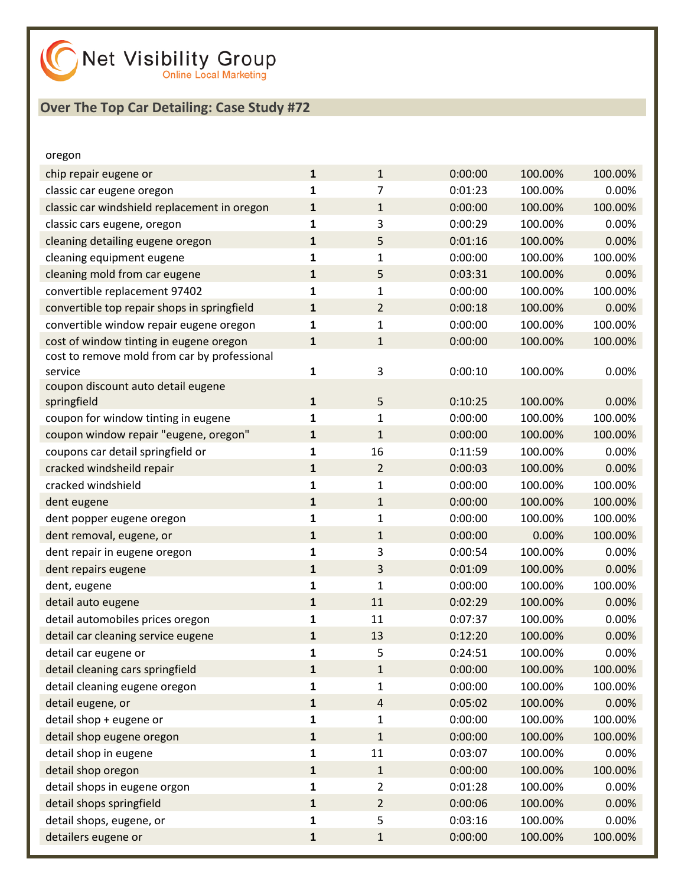| oregon                                       |              |                |         |         |         |
|----------------------------------------------|--------------|----------------|---------|---------|---------|
| chip repair eugene or                        | $\mathbf{1}$ | $\mathbf{1}$   | 0:00:00 | 100.00% | 100.00% |
| classic car eugene oregon                    | $\mathbf{1}$ | 7              | 0:01:23 | 100.00% | 0.00%   |
| classic car windshield replacement in oregon | $\mathbf{1}$ | $\mathbf{1}$   | 0:00:00 | 100.00% | 100.00% |
| classic cars eugene, oregon                  | 1            | 3              | 0:00:29 | 100.00% | 0.00%   |
| cleaning detailing eugene oregon             | $\mathbf{1}$ | 5              | 0:01:16 | 100.00% | 0.00%   |
| cleaning equipment eugene                    | $\mathbf{1}$ | 1              | 0:00:00 | 100.00% | 100.00% |
| cleaning mold from car eugene                | $\mathbf{1}$ | 5              | 0:03:31 | 100.00% | 0.00%   |
| convertible replacement 97402                | 1            | $\mathbf{1}$   | 0:00:00 | 100.00% | 100.00% |
| convertible top repair shops in springfield  | $\mathbf{1}$ | $\overline{2}$ | 0:00:18 | 100.00% | 0.00%   |
| convertible window repair eugene oregon      | 1            | $\mathbf{1}$   | 0:00:00 | 100.00% | 100.00% |
| cost of window tinting in eugene oregon      | $\mathbf{1}$ | $\mathbf{1}$   | 0:00:00 | 100.00% | 100.00% |
| cost to remove mold from car by professional |              |                |         |         |         |
| service                                      | $\mathbf{1}$ | 3              | 0:00:10 | 100.00% | 0.00%   |
| coupon discount auto detail eugene           |              |                |         |         |         |
| springfield                                  | $\mathbf{1}$ | 5              | 0:10:25 | 100.00% | 0.00%   |
| coupon for window tinting in eugene          | $\mathbf{1}$ | $\mathbf 1$    | 0:00:00 | 100.00% | 100.00% |
| coupon window repair "eugene, oregon"        | $\mathbf{1}$ | $\mathbf{1}$   | 0:00:00 | 100.00% | 100.00% |
| coupons car detail springfield or            | $\mathbf{1}$ | 16             | 0:11:59 | 100.00% | 0.00%   |
| cracked windsheild repair                    | $\mathbf{1}$ | $\overline{2}$ | 0:00:03 | 100.00% | 0.00%   |
| cracked windshield                           | $\mathbf{1}$ | 1              | 0:00:00 | 100.00% | 100.00% |
| dent eugene                                  | $\mathbf{1}$ | $\mathbf{1}$   | 0:00:00 | 100.00% | 100.00% |
| dent popper eugene oregon                    | $\mathbf{1}$ | 1              | 0:00:00 | 100.00% | 100.00% |
| dent removal, eugene, or                     | $\mathbf{1}$ | $\mathbf{1}$   | 0:00:00 | 0.00%   | 100.00% |
| dent repair in eugene oregon                 | $\mathbf{1}$ | 3              | 0:00:54 | 100.00% | 0.00%   |
| dent repairs eugene                          | $\mathbf{1}$ | 3              | 0:01:09 | 100.00% | 0.00%   |
| dent, eugene                                 | $\mathbf{1}$ | $\mathbf{1}$   | 0:00:00 | 100.00% | 100.00% |
| detail auto eugene                           | $\mathbf{1}$ | 11             | 0:02:29 | 100.00% | 0.00%   |
| detail automobiles prices oregon             | 1            | 11             | 0:07:37 | 100.00% | 0.00%   |
| detail car cleaning service eugene           | $\mathbf{1}$ | 13             | 0:12:20 | 100.00% | 0.00%   |
| detail car eugene or                         | 1            | 5              | 0:24:51 | 100.00% | 0.00%   |
| detail cleaning cars springfield             | $\mathbf{1}$ | $\mathbf{1}$   | 0:00:00 | 100.00% | 100.00% |
| detail cleaning eugene oregon                | $\mathbf{1}$ | 1              | 0:00:00 | 100.00% | 100.00% |
| detail eugene, or                            | $\mathbf 1$  | $\overline{4}$ | 0:05:02 | 100.00% | 0.00%   |
| detail shop + eugene or                      | $\mathbf 1$  | 1              | 0:00:00 | 100.00% | 100.00% |
| detail shop eugene oregon                    | $\mathbf 1$  | $\mathbf{1}$   | 0:00:00 | 100.00% | 100.00% |
| detail shop in eugene                        | $\mathbf 1$  | 11             | 0:03:07 | 100.00% | 0.00%   |
| detail shop oregon                           | $\mathbf 1$  | $\mathbf{1}$   | 0:00:00 | 100.00% | 100.00% |
| detail shops in eugene orgon                 | $\mathbf{1}$ | 2              | 0:01:28 | 100.00% | 0.00%   |
| detail shops springfield                     | $\mathbf 1$  | $\overline{2}$ | 0:00:06 | 100.00% | 0.00%   |
| detail shops, eugene, or                     | $\mathbf 1$  | 5              | 0:03:16 | 100.00% | 0.00%   |
| detailers eugene or                          | $\mathbf 1$  | $\mathbf{1}$   | 0:00:00 | 100.00% | 100.00% |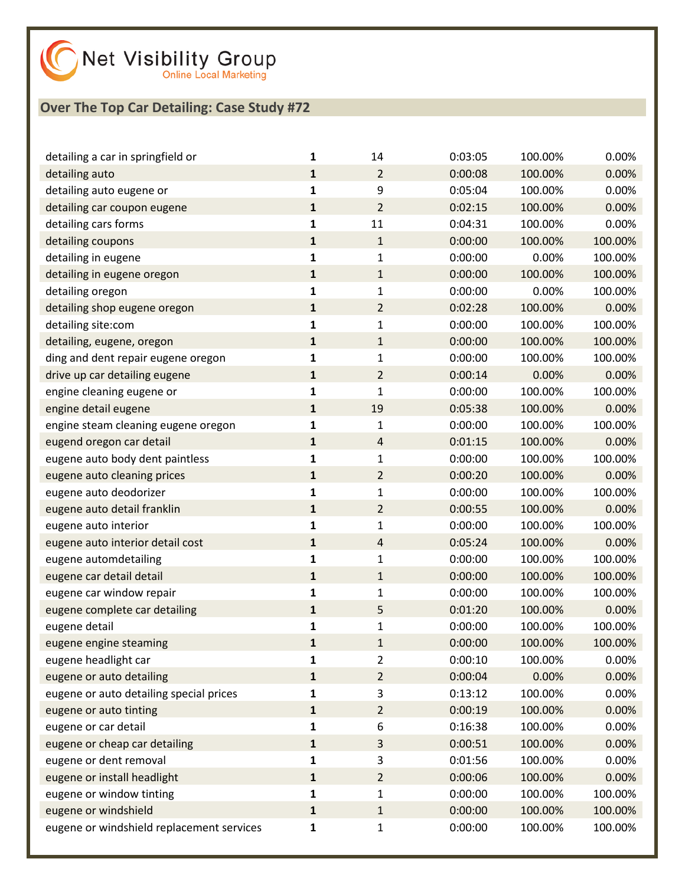

| detailing a car in springfield or         | 1            | 14             | 0:03:05 | 100.00% | 0.00%   |
|-------------------------------------------|--------------|----------------|---------|---------|---------|
| detailing auto                            | $\mathbf{1}$ | $\overline{2}$ | 0:00:08 | 100.00% | 0.00%   |
| detailing auto eugene or                  | 1            | 9              | 0:05:04 | 100.00% | 0.00%   |
| detailing car coupon eugene               | $\mathbf{1}$ | $\overline{2}$ | 0:02:15 | 100.00% | 0.00%   |
| detailing cars forms                      | $\mathbf{1}$ | 11             | 0:04:31 | 100.00% | 0.00%   |
| detailing coupons                         | $\mathbf 1$  | $\mathbf{1}$   | 0:00:00 | 100.00% | 100.00% |
| detailing in eugene                       | 1            | $\mathbf 1$    | 0:00:00 | 0.00%   | 100.00% |
| detailing in eugene oregon                | $\mathbf{1}$ | $\mathbf{1}$   | 0:00:00 | 100.00% | 100.00% |
| detailing oregon                          | 1            | 1              | 0:00:00 | 0.00%   | 100.00% |
| detailing shop eugene oregon              | $\mathbf 1$  | $\overline{2}$ | 0:02:28 | 100.00% | 0.00%   |
| detailing site:com                        | 1            | $\mathbf 1$    | 0:00:00 | 100.00% | 100.00% |
| detailing, eugene, oregon                 | $\mathbf{1}$ | $\mathbf{1}$   | 0:00:00 | 100.00% | 100.00% |
| ding and dent repair eugene oregon        | 1            | 1              | 0:00:00 | 100.00% | 100.00% |
| drive up car detailing eugene             | $\mathbf 1$  | $\overline{2}$ | 0:00:14 | 0.00%   | 0.00%   |
| engine cleaning eugene or                 | 1            | $\mathbf{1}$   | 0:00:00 | 100.00% | 100.00% |
| engine detail eugene                      | $\mathbf{1}$ | 19             | 0:05:38 | 100.00% | 0.00%   |
| engine steam cleaning eugene oregon       | 1            | $\mathbf 1$    | 0:00:00 | 100.00% | 100.00% |
| eugend oregon car detail                  | $\mathbf 1$  | $\overline{4}$ | 0:01:15 | 100.00% | 0.00%   |
| eugene auto body dent paintless           | 1            | $\mathbf{1}$   | 0:00:00 | 100.00% | 100.00% |
| eugene auto cleaning prices               | $\mathbf{1}$ | $\overline{2}$ | 0:00:20 | 100.00% | 0.00%   |
| eugene auto deodorizer                    | 1            | 1              | 0:00:00 | 100.00% | 100.00% |
| eugene auto detail franklin               | $\mathbf 1$  | $\overline{2}$ | 0:00:55 | 100.00% | 0.00%   |
| eugene auto interior                      | $\mathbf{1}$ | $\mathbf{1}$   | 0:00:00 | 100.00% | 100.00% |
| eugene auto interior detail cost          | $\mathbf{1}$ | 4              | 0:05:24 | 100.00% | 0.00%   |
| eugene automdetailing                     | 1            | 1              | 0:00:00 | 100.00% | 100.00% |
| eugene car detail detail                  | $\mathbf 1$  | $\mathbf{1}$   | 0:00:00 | 100.00% | 100.00% |
| eugene car window repair                  | $\mathbf{1}$ | $\mathbf{1}$   | 0:00:00 | 100.00% | 100.00% |
| eugene complete car detailing             | $\mathbf{1}$ | 5              | 0:01:20 | 100.00% | 0.00%   |
| eugene detail                             | 1            | $\mathbf 1$    | 0:00:00 | 100.00% | 100.00% |
| eugene engine steaming                    | 1            | $\mathbf 1$    | 0:00:00 | 100.00% | 100.00% |
| eugene headlight car                      | 1            | 2              | 0:00:10 | 100.00% | 0.00%   |
| eugene or auto detailing                  | $\mathbf 1$  | $\overline{2}$ | 0:00:04 | 0.00%   | 0.00%   |
| eugene or auto detailing special prices   | 1            | 3              | 0:13:12 | 100.00% | 0.00%   |
| eugene or auto tinting                    | $\mathbf 1$  | $\overline{2}$ | 0:00:19 | 100.00% | 0.00%   |
| eugene or car detail                      | $\mathbf{1}$ | 6              | 0:16:38 | 100.00% | 0.00%   |
| eugene or cheap car detailing             | $\mathbf 1$  | 3              | 0:00:51 | 100.00% | 0.00%   |
| eugene or dent removal                    | 1            | 3              | 0:01:56 | 100.00% | 0.00%   |
| eugene or install headlight               | $\mathbf{1}$ | $\overline{2}$ | 0:00:06 | 100.00% | 0.00%   |
| eugene or window tinting                  | $\mathbf{1}$ | 1              | 0:00:00 | 100.00% | 100.00% |
| eugene or windshield                      | $\mathbf 1$  | $\mathbf{1}$   | 0:00:00 | 100.00% | 100.00% |
| eugene or windshield replacement services | 1            | $\mathbf{1}$   | 0:00:00 | 100.00% | 100.00% |